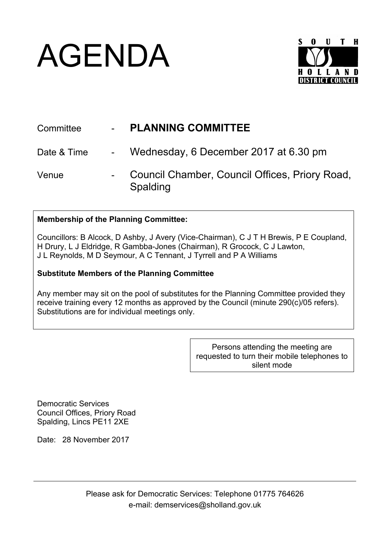## AGENDA



| Committee   | $\omega_{\rm{max}}$ | <b>PLANNING COMMITTEE</b>                                  |
|-------------|---------------------|------------------------------------------------------------|
| Date & Time |                     | - Wednesday, 6 December 2017 at 6.30 pm                    |
| Venue       |                     | Council Chamber, Council Offices, Priory Road,<br>Spalding |

## **Membership of the Planning Committee:**

Councillors: B Alcock, D Ashby, J Avery (Vice-Chairman), C J T H Brewis, P E Coupland, H Drury, L J Eldridge, R Gambba-Jones (Chairman), R Grocock, C J Lawton, J L Reynolds, M D Seymour, A C Tennant, J Tyrrell and P A Williams

## **Substitute Members of the Planning Committee**

Any member may sit on the pool of substitutes for the Planning Committee provided they receive training every 12 months as approved by the Council (minute 290(c)/05 refers). Substitutions are for individual meetings only.

> Persons attending the meeting are requested to turn their mobile telephones to silent mode

Democratic Services Council Offices, Priory Road Spalding, Lincs PE11 2XE

Date: 28 November 2017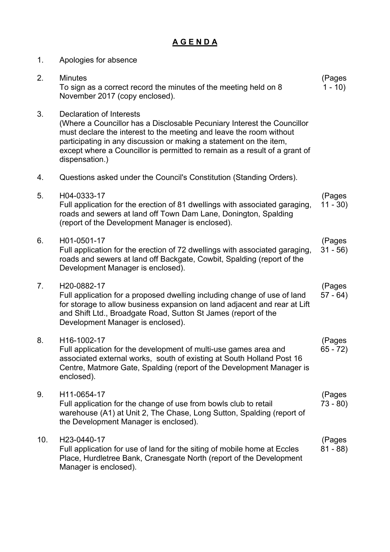## **A G E N D A**

| 1.  | Apologies for absence                                                                                                                                                                                                                                                                                                                                   |                      |
|-----|---------------------------------------------------------------------------------------------------------------------------------------------------------------------------------------------------------------------------------------------------------------------------------------------------------------------------------------------------------|----------------------|
| 2.  | <b>Minutes</b><br>To sign as a correct record the minutes of the meeting held on 8<br>November 2017 (copy enclosed).                                                                                                                                                                                                                                    | (Pages<br>$1 - 10$   |
| 3.  | <b>Declaration of Interests</b><br>(Where a Councillor has a Disclosable Pecuniary Interest the Councillor<br>must declare the interest to the meeting and leave the room without<br>participating in any discussion or making a statement on the item,<br>except where a Councillor is permitted to remain as a result of a grant of<br>dispensation.) |                      |
| 4.  | Questions asked under the Council's Constitution (Standing Orders).                                                                                                                                                                                                                                                                                     |                      |
| 5.  | H04-0333-17<br>Full application for the erection of 81 dwellings with associated garaging,<br>roads and sewers at land off Town Dam Lane, Donington, Spalding<br>(report of the Development Manager is enclosed).                                                                                                                                       | (Pages<br>$11 - 30$  |
| 6.  | H01-0501-17<br>Full application for the erection of 72 dwellings with associated garaging,<br>roads and sewers at land off Backgate, Cowbit, Spalding (report of the<br>Development Manager is enclosed).                                                                                                                                               | (Pages<br>$31 - 56$  |
| 7.  | H20-0882-17<br>Full application for a proposed dwelling including change of use of land<br>for storage to allow business expansion on land adjacent and rear at Lift<br>and Shift Ltd., Broadgate Road, Sutton St James (report of the<br>Development Manager is enclosed).                                                                             | (Pages<br>$57 - 64)$ |
| 8.  | H16-1002-17<br>Full application for the development of multi-use games area and<br>associated external works, south of existing at South Holland Post 16<br>Centre, Matmore Gate, Spalding (report of the Development Manager is<br>enclosed).                                                                                                          | (Pages<br>$65 - 72$  |
| 9.  | H11-0654-17<br>Full application for the change of use from bowls club to retail<br>warehouse (A1) at Unit 2, The Chase, Long Sutton, Spalding (report of<br>the Development Manager is enclosed).                                                                                                                                                       | (Pages<br>$73 - 80$  |
| 10. | H23-0440-17<br>Full application for use of land for the siting of mobile home at Eccles<br>Place, Hurdletree Bank, Cranesgate North (report of the Development<br>Manager is enclosed).                                                                                                                                                                 | (Pages<br>$81 - 88$  |